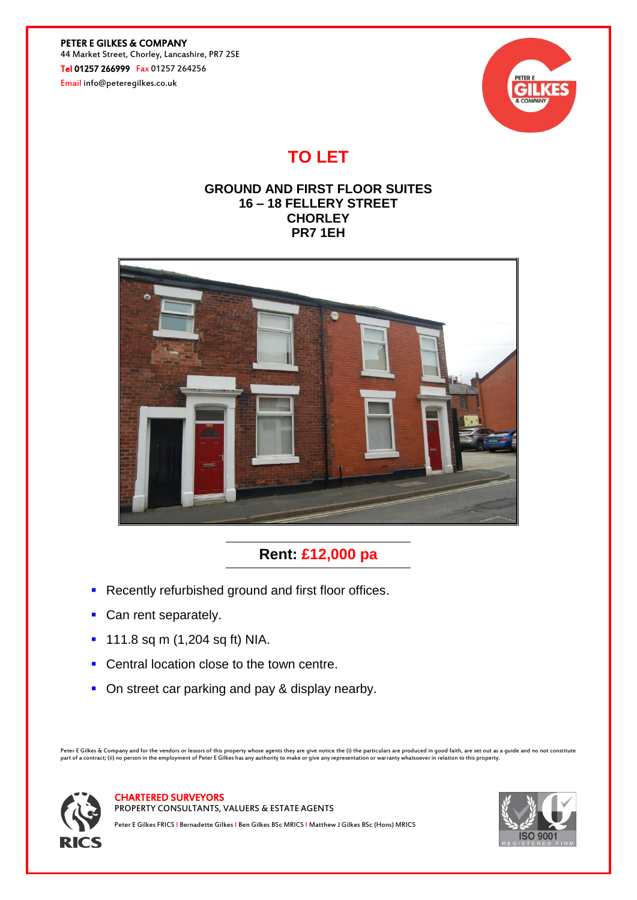PETER E GILKES & COMPANY 44 Market Street, Chorley, Lancashire, PR7 2SE Tel 01257 266999 Fax 01257 264256

Email info@peteregilkes.co.uk



# **TO LET**

### **GROUND AND FIRST FLOOR SUITES 16 – 18 FELLERY STREET CHORLEY PR7 1EH**



## **Rent: £12,000 pa**

- **Recently refurbished ground and first floor offices.**
- Can rent separately.
- 111.8 sq m (1,204 sq ft) NIA.
- Central location close to the town centre.
- On street car parking and pay & display nearby.

Peter E Gilkes & Company and for the vendors or lessors of this property whose agents they are give notice the (i) the particulars are produced in good faith, are set out as a guide and no not constitute<br>part of a contract



CHARTERED SURVEYORS

PROPERTY CONSULTANTS, VALUERS & ESTATE AGENTS

Peter E Gilkes FRICS I Bernadette Gilkes I Ben Gilkes BSc MRICS I Matthew J Gilkes BSc (Hons) MRICS

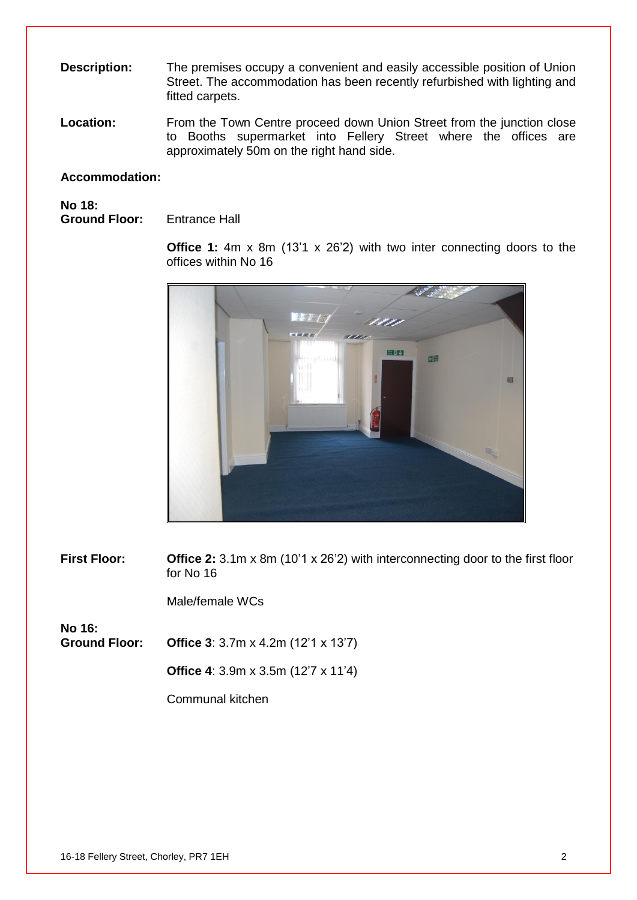- **Description:** The premises occupy a convenient and easily accessible position of Union Street. The accommodation has been recently refurbished with lighting and fitted carpets.
- **Location:** From the Town Centre proceed down Union Street from the junction close to Booths supermarket into Fellery Street where the offices are approximately 50m on the right hand side.

#### **Accommodation:**

**No 18: Ground Floor:** Entrance Hall

> **Office 1:** 4m x 8m (13'1 x 26'2) with two inter connecting doors to the offices within No 16



**First Floor:** Office 2: 3.1m x 8m (10'1 x 26'2) with interconnecting door to the first floor for No 16

Male/female WCs

**No 16: Ground Floor: Office 3**: 3.7m x 4.2m (12'1 x 13'7)

**Office 4**: 3.9m x 3.5m (12'7 x 11'4)

Communal kitchen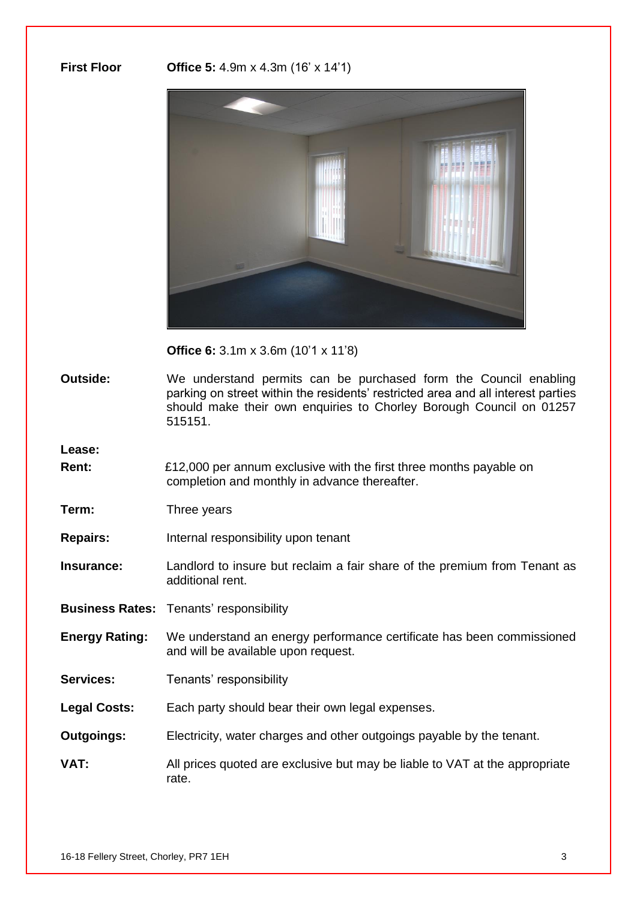**First Floor Office 5:** 4.9m x 4.3m (16' x 14'1)



**Office 6:** 3.1m x 3.6m (10'1 x 11'8)

**Outside:** We understand permits can be purchased form the Council enabling parking on street within the residents' restricted area and all interest parties should make their own enquiries to Chorley Borough Council on 01257 515151.

**Lease:**

**Rent:** £12,000 per annum exclusive with the first three months payable on completion and monthly in advance thereafter.

**Term:** Three years

**Repairs:** Internal responsibility upon tenant

**Insurance:** Landlord to insure but reclaim a fair share of the premium from Tenant as additional rent.

**Business Rates:** Tenants' responsibility

- **Energy Rating:** We understand an energy performance certificate has been commissioned and will be available upon request.
- Services: Tenants' responsibility
- **Legal Costs:** Each party should bear their own legal expenses.
- **Outgoings:** Electricity, water charges and other outgoings payable by the tenant.
- **VAT:** All prices quoted are exclusive but may be liable to VAT at the appropriate rate.